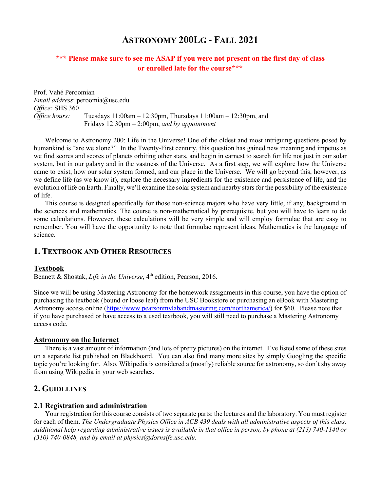# **ASTRONOMY 200LG - FALL 2021**

# **\*\*\* Please make sure to see me ASAP if you were not present on the first day of class or enrolled late for the course\*\*\***

Prof. Vahé Peroomian *Email address*: peroomia@usc.edu *Office:* SHS 360 *Office hours:* Tuesdays 11:00am – 12:30pm, Thursdays 11:00am – 12:30pm, and Fridays 12:30pm – 2:00pm, *and by appointment* 

Welcome to Astronomy 200: Life in the Universe! One of the oldest and most intriguing questions posed by humankind is "are we alone?" In the Twenty-First century, this question has gained new meaning and impetus as we find scores and scores of planets orbiting other stars, and begin in earnest to search for life not just in our solar system, but in our galaxy and in the vastness of the Universe. As a first step, we will explore how the Universe came to exist, how our solar system formed, and our place in the Universe. We will go beyond this, however, as we define life (as we know it), explore the necessary ingredients for the existence and persistence of life, and the evolution of life on Earth. Finally, we'll examine the solar system and nearby stars for the possibility of the existence of life.

This course is designed specifically for those non-science majors who have very little, if any, background in the sciences and mathematics. The course is non-mathematical by prerequisite, but you will have to learn to do some calculations. However, these calculations will be very simple and will employ formulae that are easy to remember. You will have the opportunity to note that formulae represent ideas. Mathematics is the language of science.

## **1. TEXTBOOK AND OTHER RESOURCES**

#### **Textbook**

Bennett & Shostak, *Life in the Universe*, 4<sup>th</sup> edition, Pearson, 2016.

Since we will be using Mastering Astronomy for the homework assignments in this course, you have the option of purchasing the textbook (bound or loose leaf) from the USC Bookstore or purchasing an eBook with Mastering Astronomy access online (https://www.pearsonmylabandmastering.com/northamerica/) for \$60. Please note that if you have purchased or have access to a used textbook, you will still need to purchase a Mastering Astronomy access code.

#### **Astronomy on the Internet**

There is a vast amount of information (and lots of pretty pictures) on the internet. I've listed some of these sites on a separate list published on Blackboard. You can also find many more sites by simply Googling the specific topic you're looking for. Also, Wikipedia is considered a (mostly) reliable source for astronomy, so don't shy away from using Wikipedia in your web searches.

# **2. GUIDELINES**

#### **2.1 Registration and administration**

Your registration for this course consists of two separate parts: the lectures and the laboratory. You must register for each of them. *The Undergraduate Physics Office in ACB 439 deals with all administrative aspects of this class. Additional help regarding administrative issues is available in that office in person, by phone at (213) 740-1140 or (310) 740-0848, and by email at physics@dornsife.usc.edu.*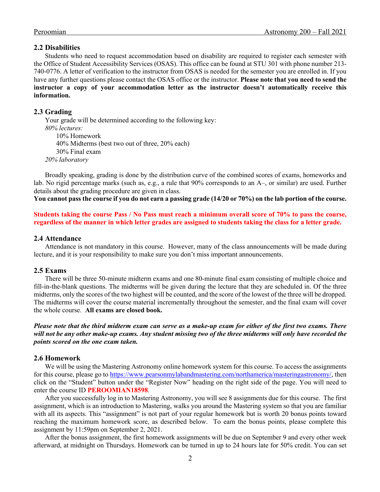#### **2.2 Disabilities**

Students who need to request accommodation based on disability are required to register each semester with the Office of Student Accessibility Services (OSAS). This office can be found at STU 301 with phone number 213- 740-0776. A letter of verification to the instructor from OSAS is needed for the semester you are enrolled in. If you have any further questions please contact the OSAS office or the instructor. **Please note that you need to send the instructor a copy of your accommodation letter as the instructor doesn't automatically receive this information.**

#### **2.3 Grading**

Your grade will be determined according to the following key: *80% lectures:*  10% Homework 40% Midterms (best two out of three, 20% each) 30% Final exam *20% laboratory*

Broadly speaking, grading is done by the distribution curve of the combined scores of exams, homeworks and lab. No rigid percentage marks (such as, e.g., a rule that 90% corresponds to an A–, or similar) are used. Further details about the grading procedure are given in class.

**You cannot pass the course if you do not earn a passing grade (14/20 or 70%) on the lab portion of the course.**

**Students taking the course Pass / No Pass must reach a minimum overall score of 70% to pass the course, regardless of the manner in which letter grades are assigned to students taking the class for a letter grade.** 

#### **2.4 Attendance**

Attendance is not mandatory in this course. However, many of the class announcements will be made during lecture, and it is your responsibility to make sure you don't miss important announcements.

#### **2.5 Exams**

There will be three 50-minute midterm exams and one 80-minute final exam consisting of multiple choice and fill-in-the-blank questions. The midterms will be given during the lecture that they are scheduled in. Of the three midterms, only the scores of the two highest will be counted, and the score of the lowest of the three will be dropped. The midterms will cover the course material incrementally throughout the semester, and the final exam will cover the whole course. **All exams are closed book.** 

*Please note that the third midterm exam can serve as a make-up exam for either of the first two exams. There will not be any other make-up exams. Any student missing two of the three midterms will only have recorded the points scored on the one exam taken.* 

#### **2.6 Homework**

We will be using the Mastering Astronomy online homework system for this course. To access the assignments for this course, please go to https://www.pearsonmylabandmastering.com/northamerica/masteringastronomy/, then click on the "Student" button under the "Register Now" heading on the right side of the page. You will need to enter the course ID **PEROOMIAN18598**.

After you successfully log in to Mastering Astronomy, you will see 8 assignments due for this course. The first assignment, which is an introduction to Mastering, walks you around the Mastering system so that you are familiar with all its aspects. This "assignment" is not part of your regular homework but is worth 20 bonus points toward reaching the maximum homework score, as described below. To earn the bonus points, please complete this assignment by 11:59pm on September 2, 2021.

After the bonus assignment, the first homework assignments will be due on September 9 and every other week afterward, at midnight on Thursdays. Homework can be turned in up to 24 hours late for 50% credit. You can set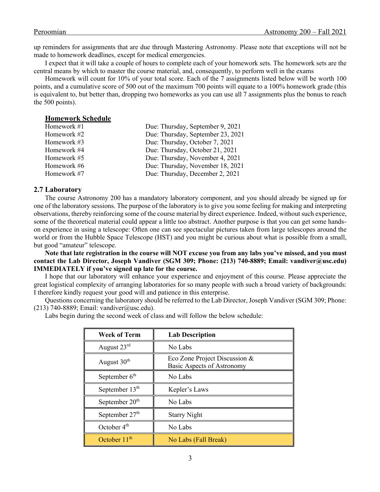up reminders for assignments that are due through Mastering Astronomy. Please note that exceptions will not be made to homework deadlines, except for medical emergencies.

I expect that it will take a couple of hours to complete each of your homework sets. The homework sets are the central means by which to master the course material, and, consequently, to perform well in the exams

Homework will count for 10% of your total score. Each of the 7 assignments listed below will be worth 100 points, and a cumulative score of 500 out of the maximum 700 points will equate to a 100% homework grade (this is equivalent to, but better than, dropping two homeworks as you can use all 7 assignments plus the bonus to reach the 500 points).

#### **Homework Schedule**

| Homework #1 | Due: Thursday, September 9, 2021  |
|-------------|-----------------------------------|
| Homework #2 | Due: Thursday, September 23, 2021 |
| Homework #3 | Due: Thursday, October 7, 2021    |
| Homework #4 | Due: Thursday, October 21, 2021   |
| Homework #5 | Due: Thursday, November 4, 2021   |
| Homework #6 | Due: Thursday, November 18, 2021  |
| Homework #7 | Due: Thursday, December 2, 2021   |

#### **2.7 Laboratory**

The course Astronomy 200 has a mandatory laboratory component, and you should already be signed up for one of the laboratory sessions. The purpose of the laboratory is to give you some feeling for making and interpreting observations, thereby reinforcing some of the course material by direct experience. Indeed, without such experience, some of the theoretical material could appear a little too abstract. Another purpose is that you can get some handson experience in using a telescope: Often one can see spectacular pictures taken from large telescopes around the world or from the Hubble Space Telescope (HST) and you might be curious about what is possible from a small, but good "amateur" telescope.

**Note that late registration in the course will NOT excuse you from any labs you've missed, and you must contact the Lab Director, Joseph Vandiver (SGM 309; Phone: (213) 740-8889; Email: vandiver@usc.edu) IMMEDIATELY if you've signed up late for the course.**

I hope that our laboratory will enhance your experience and enjoyment of this course. Please appreciate the great logistical complexity of arranging laboratories for so many people with such a broad variety of backgrounds: I therefore kindly request your good will and patience in this enterprise.

Questions concerning the laboratory should be referred to the Lab Director, Joseph Vandiver (SGM 309; Phone: (213) 740-8889; Email: vandiver@usc.edu).

Labs begin during the second week of class and will follow the below schedule:

| <b>Week of Term</b>        | <b>Lab Description</b>                                      |
|----------------------------|-------------------------------------------------------------|
| August 23rd                | No Labs                                                     |
| August 30 <sup>th</sup>    | Eco Zone Project Discussion &<br>Basic Aspects of Astronomy |
| September $6th$            | No Labs                                                     |
| September 13 <sup>th</sup> | Kepler's Laws                                               |
| September 20 <sup>th</sup> | No Labs                                                     |
| September 27 <sup>th</sup> | <b>Starry Night</b>                                         |
| October $4th$              | No Labs                                                     |
| October $11th$             | No Labs (Fall Break)                                        |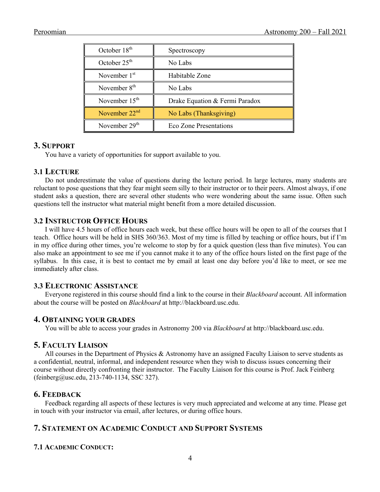| October 18 <sup>th</sup>  | Spectroscopy                   |
|---------------------------|--------------------------------|
| October $25th$            | No Labs                        |
| November $1st$            | Habitable Zone                 |
| November 8 <sup>th</sup>  | No Labs                        |
| November $15th$           | Drake Equation & Fermi Paradox |
| November $22nd$           | No Labs (Thanksgiving)         |
| November 29 <sup>th</sup> | Eco Zone Presentations         |

# **3. SUPPORT**

You have a variety of opportunities for support available to you.

# **3.1 LECTURE**

Do not underestimate the value of questions during the lecture period. In large lectures, many students are reluctant to pose questions that they fear might seem silly to their instructor or to their peers. Almost always, if one student asks a question, there are several other students who were wondering about the same issue. Often such questions tell the instructor what material might benefit from a more detailed discussion.

# **3.2 INSTRUCTOR OFFICE HOURS**

I will have 4.5 hours of office hours each week, but these office hours will be open to all of the courses that I teach. Office hours will be held in SHS 360/363. Most of my time is filled by teaching or office hours, but if I'm in my office during other times, you're welcome to stop by for a quick question (less than five minutes). You can also make an appointment to see me if you cannot make it to any of the office hours listed on the first page of the syllabus. In this case, it is best to contact me by email at least one day before you'd like to meet, or see me immediately after class.

# **3.3 ELECTRONIC ASSISTANCE**

Everyone registered in this course should find a link to the course in their *Blackboard* account. All information about the course will be posted on *Blackboard* at http://blackboard.usc.edu.

# **4. OBTAINING YOUR GRADES**

You will be able to access your grades in Astronomy 200 via *Blackboard* at http://blackboard.usc.edu.

# **5. FACULTY LIAISON**

All courses in the Department of Physics & Astronomy have an assigned Faculty Liaison to serve students as a confidential, neutral, informal, and independent resource when they wish to discuss issues concerning their course without directly confronting their instructor. The Faculty Liaison for this course is Prof. Jack Feinberg (feinberg@usc.edu, 213-740-1134, SSC 327).

# **6. FEEDBACK**

Feedback regarding all aspects of these lectures is very much appreciated and welcome at any time. Please get in touch with your instructor via email, after lectures, or during office hours.

# **7. STATEMENT ON ACADEMIC CONDUCT AND SUPPORT SYSTEMS**

# **7.1 ACADEMIC CONDUCT:**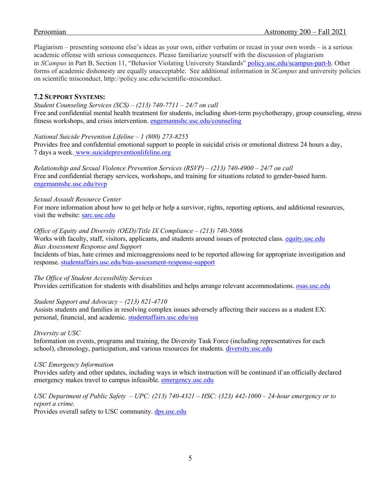Plagiarism – presenting someone else's ideas as your own, either verbatim or recast in your own words – is a serious academic offense with serious consequences. Please familiarize yourself with the discussion of plagiarism in *SCampus* in Part B, Section 11, "Behavior Violating University Standards" policy.usc.edu/scampus-part-b. Other forms of academic dishonesty are equally unacceptable. See additional information in *SCampus* and university policies on scientific misconduct, http://policy.usc.edu/scientific-misconduct.

# **7.2 SUPPORT SYSTEMS:**

#### *Student Counseling Services (SCS) – (213) 740-7711 – 24/7 on call*

Free and confidential mental health treatment for students, including short-term psychotherapy, group counseling, stress fitness workshops, and crisis intervention. engemannshc.usc.edu/counseling

## *National Suicide Prevention Lifeline – 1 (800) 273-8255*

Provides free and confidential emotional support to people in suicidal crisis or emotional distress 24 hours a day, 7 days a week. www.suicidepreventionlifeline.org

*Relationship and Sexual Violence Prevention Services (RSVP) – (213) 740-4900 – 24/7 on call* Free and confidential therapy services, workshops, and training for situations related to gender-based harm. engemannshc.usc.edu/rsvp

## *Sexual Assault Resource Center*

For more information about how to get help or help a survivor, rights, reporting options, and additional resources, visit the website: sarc.usc.edu

## *Office of Equity and Diversity (OED)/Title IX Compliance – (213) 740-5086*

Works with faculty, staff, visitors, applicants, and students around issues of protected class. equity.usc.edu *Bias Assessment Response and Support* Incidents of bias, hate crimes and microaggressions need to be reported allowing for appropriate investigation and

response. studentaffairs.usc.edu/bias-assessment-response-support

## *The Office of Student Accessibility Services*

Provides certification for students with disabilities and helps arrange relevant accommodations. **osas.usc.edu** 

## *Student Support and Advocacy – (213) 821-4710*

Assists students and families in resolving complex issues adversely affecting their success as a student EX: personal, financial, and academic. studentaffairs.usc.edu/ssa

#### *Diversity at USC*

Information on events, programs and training, the Diversity Task Force (including representatives for each school), chronology, participation, and various resources for students. diversity.usc.edu

#### *USC Emergency Information*

Provides safety and other updates, including ways in which instruction will be continued if an officially declared emergency makes travel to campus infeasible. emergency.usc.edu

## *USC Department of Public Safety – UPC: (213) 740-4321 – HSC: (323) 442-1000 – 24-hour emergency or to report a crime.*

Provides overall safety to USC community. dps.usc.edu